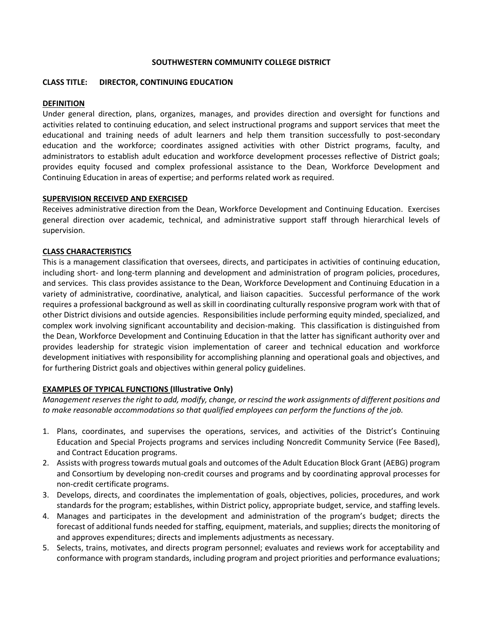#### **SOUTHWESTERN COMMUNITY COLLEGE DISTRICT**

#### **CLASS TITLE: DIRECTOR, CONTINUING EDUCATION**

#### **DEFINITION**

Under general direction, plans, organizes, manages, and provides direction and oversight for functions and activities related to continuing education, and select instructional programs and support services that meet the educational and training needs of adult learners and help them transition successfully to post-secondary education and the workforce; coordinates assigned activities with other District programs, faculty, and administrators to establish adult education and workforce development processes reflective of District goals; provides equity focused and complex professional assistance to the Dean, Workforce Development and Continuing Education in areas of expertise; and performs related work as required.

#### **SUPERVISION RECEIVED AND EXERCISED**

Receives administrative direction from the Dean, Workforce Development and Continuing Education. Exercises general direction over academic, technical, and administrative support staff through hierarchical levels of supervision.

## **CLASS CHARACTERISTICS**

This is a management classification that oversees, directs, and participates in activities of continuing education, including short- and long-term planning and development and administration of program policies, procedures, and services. This class provides assistance to the Dean, Workforce Development and Continuing Education in a variety of administrative, coordinative, analytical, and liaison capacities. Successful performance of the work requires a professional background as well as skill in coordinating culturally responsive program work with that of other District divisions and outside agencies. Responsibilities include performing equity minded, specialized, and complex work involving significant accountability and decision-making. This classification is distinguished from the Dean, Workforce Development and Continuing Education in that the latter has significant authority over and provides leadership for strategic vision implementation of career and technical education and workforce development initiatives with responsibility for accomplishing planning and operational goals and objectives, and for furthering District goals and objectives within general policy guidelines.

## **EXAMPLES OF TYPICAL FUNCTIONS (Illustrative Only)**

*Management reserves the right to add, modify, change, or rescind the work assignments of different positions and to make reasonable accommodations so that qualified employees can perform the functions of the job.*

- 1. Plans, coordinates, and supervises the operations, services, and activities of the District's Continuing Education and Special Projects programs and services including Noncredit Community Service (Fee Based), and Contract Education programs.
- 2. Assists with progress towards mutual goals and outcomes of the Adult Education Block Grant (AEBG) program and Consortium by developing non-credit courses and programs and by coordinating approval processes for non-credit certificate programs.
- 3. Develops, directs, and coordinates the implementation of goals, objectives, policies, procedures, and work standards for the program; establishes, within District policy, appropriate budget, service, and staffing levels.
- 4. Manages and participates in the development and administration of the program's budget; directs the forecast of additional funds needed for staffing, equipment, materials, and supplies; directs the monitoring of and approves expenditures; directs and implements adjustments as necessary.
- 5. Selects, trains, motivates, and directs program personnel; evaluates and reviews work for acceptability and conformance with program standards, including program and project priorities and performance evaluations;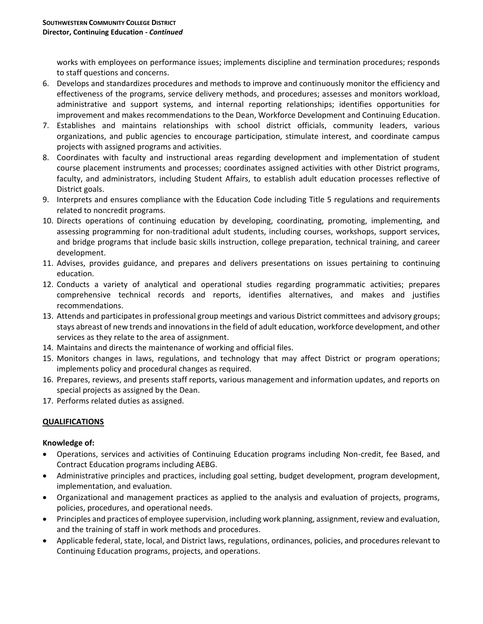works with employees on performance issues; implements discipline and termination procedures; responds to staff questions and concerns.

- 6. Develops and standardizes procedures and methods to improve and continuously monitor the efficiency and effectiveness of the programs, service delivery methods, and procedures; assesses and monitors workload, administrative and support systems, and internal reporting relationships; identifies opportunities for improvement and makes recommendations to the Dean, Workforce Development and Continuing Education.
- 7. Establishes and maintains relationships with school district officials, community leaders, various organizations, and public agencies to encourage participation, stimulate interest, and coordinate campus projects with assigned programs and activities.
- 8. Coordinates with faculty and instructional areas regarding development and implementation of student course placement instruments and processes; coordinates assigned activities with other District programs, faculty, and administrators, including Student Affairs, to establish adult education processes reflective of District goals.
- 9. Interprets and ensures compliance with the Education Code including Title 5 regulations and requirements related to noncredit programs.
- 10. Directs operations of continuing education by developing, coordinating, promoting, implementing, and assessing programming for non-traditional adult students, including courses, workshops, support services, and bridge programs that include basic skills instruction, college preparation, technical training, and career development.
- 11. Advises, provides guidance, and prepares and delivers presentations on issues pertaining to continuing education.
- 12. Conducts a variety of analytical and operational studies regarding programmatic activities; prepares comprehensive technical records and reports, identifies alternatives, and makes and justifies recommendations.
- 13. Attends and participates in professional group meetings and various District committees and advisory groups; stays abreast of new trends and innovations in the field of adult education, workforce development, and other services as they relate to the area of assignment.
- 14. Maintains and directs the maintenance of working and official files.
- 15. Monitors changes in laws, regulations, and technology that may affect District or program operations; implements policy and procedural changes as required.
- 16. Prepares, reviews, and presents staff reports, various management and information updates, and reports on special projects as assigned by the Dean.
- 17. Performs related duties as assigned.

# **QUALIFICATIONS**

## **Knowledge of:**

- Operations, services and activities of Continuing Education programs including Non-credit, fee Based, and Contract Education programs including AEBG.
- Administrative principles and practices, including goal setting, budget development, program development, implementation, and evaluation.
- Organizational and management practices as applied to the analysis and evaluation of projects, programs, policies, procedures, and operational needs.
- Principles and practices of employee supervision, including work planning, assignment, review and evaluation, and the training of staff in work methods and procedures.
- Applicable federal, state, local, and District laws, regulations, ordinances, policies, and procedures relevant to Continuing Education programs, projects, and operations.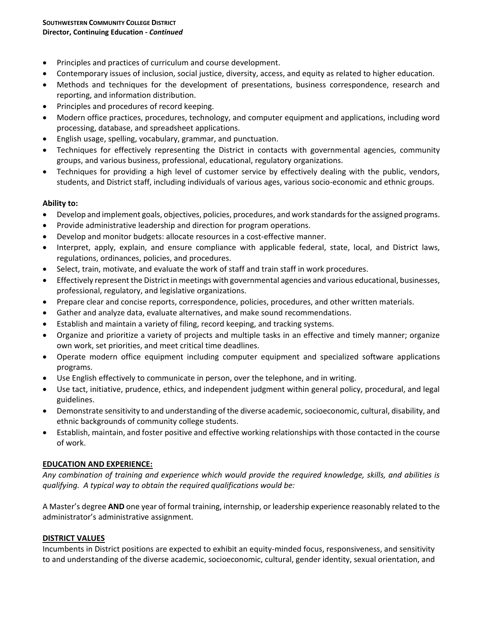- Principles and practices of curriculum and course development.
- Contemporary issues of inclusion, social justice, diversity, access, and equity as related to higher education.
- Methods and techniques for the development of presentations, business correspondence, research and reporting, and information distribution.
- Principles and procedures of record keeping.
- Modern office practices, procedures, technology, and computer equipment and applications, including word processing, database, and spreadsheet applications.
- English usage, spelling, vocabulary, grammar, and punctuation.
- Techniques for effectively representing the District in contacts with governmental agencies, community groups, and various business, professional, educational, regulatory organizations.
- Techniques for providing a high level of customer service by effectively dealing with the public, vendors, students, and District staff, including individuals of various ages, various socio-economic and ethnic groups.

## **Ability to:**

- Develop and implement goals, objectives, policies, procedures, and work standards for the assigned programs.
- Provide administrative leadership and direction for program operations.
- Develop and monitor budgets: allocate resources in a cost-effective manner.
- Interpret, apply, explain, and ensure compliance with applicable federal, state, local, and District laws, regulations, ordinances, policies, and procedures.
- Select, train, motivate, and evaluate the work of staff and train staff in work procedures.
- Effectively represent the District in meetings with governmental agencies and various educational, businesses, professional, regulatory, and legislative organizations.
- Prepare clear and concise reports, correspondence, policies, procedures, and other written materials.
- Gather and analyze data, evaluate alternatives, and make sound recommendations.
- Establish and maintain a variety of filing, record keeping, and tracking systems.
- Organize and prioritize a variety of projects and multiple tasks in an effective and timely manner; organize own work, set priorities, and meet critical time deadlines.
- Operate modern office equipment including computer equipment and specialized software applications programs.
- Use English effectively to communicate in person, over the telephone, and in writing.
- Use tact, initiative, prudence, ethics, and independent judgment within general policy, procedural, and legal guidelines.
- Demonstrate sensitivity to and understanding of the diverse academic, socioeconomic, cultural, disability, and ethnic backgrounds of community college students.
- Establish, maintain, and foster positive and effective working relationships with those contacted in the course of work.

## **EDUCATION AND EXPERIENCE:**

*Any combination of training and experience which would provide the required knowledge, skills, and abilities is qualifying. A typical way to obtain the required qualifications would be:*

A Master's degree **AND** one year of formal training, internship, or leadership experience reasonably related to the administrator's administrative assignment.

## **DISTRICT VALUES**

Incumbents in District positions are expected to exhibit an equity-minded focus, responsiveness, and sensitivity to and understanding of the diverse academic, socioeconomic, cultural, gender identity, sexual orientation, and